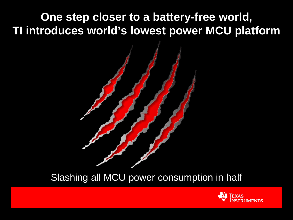**One step closer to a battery-free world, TI introduces world's lowest power MCU platform** 



### Slashing all MCU power consumption in half

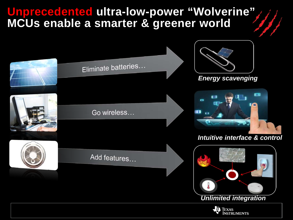### **Unprecedented ultra-low-power "Wolverine" MCUs enable a smarter & greener world**

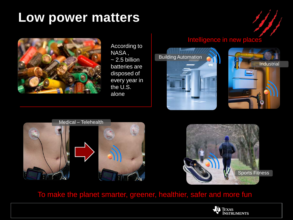# **Low power matters**

![](_page_2_Picture_1.jpeg)

According to NASA ,  $\sim$  2.5 billion batteries are disposed of every year in the U.S. alone

#### Intelligence in new places

![](_page_2_Picture_4.jpeg)

![](_page_2_Picture_5.jpeg)

 $\mathcal{B}$ 

![](_page_2_Picture_6.jpeg)

![](_page_2_Picture_7.jpeg)

#### To make the planet smarter, greener, healthier, safer and more fun

![](_page_2_Picture_9.jpeg)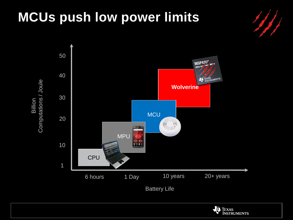# **MCUs push low power limits**

![](_page_3_Figure_1.jpeg)

![](_page_3_Figure_2.jpeg)

![](_page_3_Picture_3.jpeg)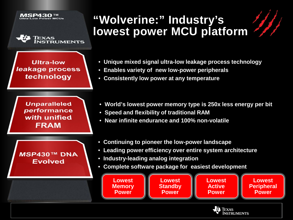![](_page_4_Picture_0.jpeg)

![](_page_4_Picture_1.jpeg)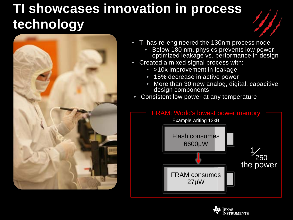# **TI showcases innovation in process technology**

![](_page_5_Picture_1.jpeg)

- TI has re-engineered the 130nm process node • Below 180 nm, physics prevents low power optimized leakage vs. performance in design
- Created a mixed signal process with:
	- >10x improvement in leakage
	- 15% decrease in active power
	- More than 30 new analog, digital, capacitive design components
- Consistent low power at any temperature

![](_page_5_Figure_8.jpeg)

![](_page_5_Picture_9.jpeg)

![](_page_5_Picture_10.jpeg)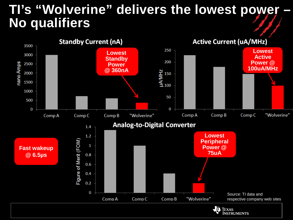## **TI's "Wolverine" delivers the lowest power No qualifiers**

![](_page_6_Figure_1.jpeg)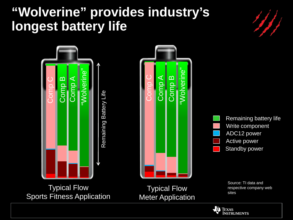# **"Wolverine" provides industry's longest battery life**

![](_page_7_Figure_1.jpeg)

![](_page_7_Picture_2.jpeg)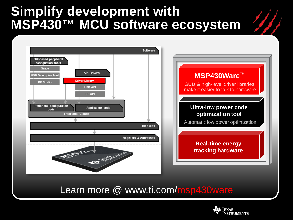## **Simplify development with MSP430™ MCU software ecosystem**

![](_page_8_Figure_1.jpeg)

Learn more @ www.ti.com/msp430ware

![](_page_8_Picture_3.jpeg)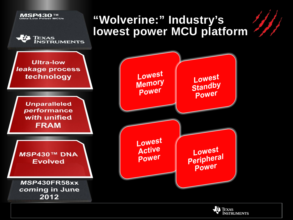![](_page_9_Figure_0.jpeg)

![](_page_9_Picture_1.jpeg)